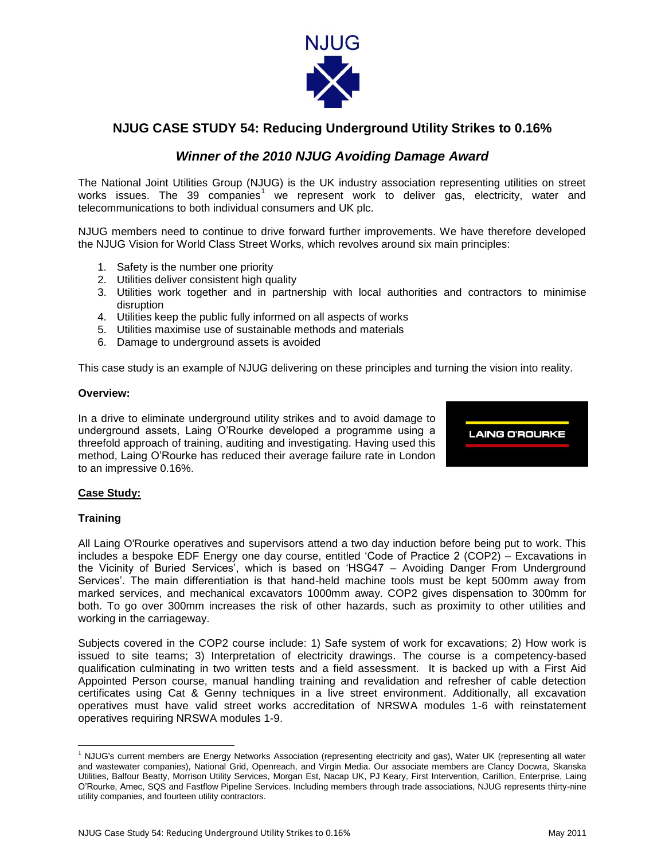

# **NJUG CASE STUDY 54: Reducing Underground Utility Strikes to 0.16%**

## *Winner of the 2010 NJUG Avoiding Damage Award*

The National Joint Utilities Group (NJUG) is the UK industry association representing utilities on street works issues. The 39 companies<sup>1</sup> we represent work to deliver gas, electricity, water and telecommunications to both individual consumers and UK plc.

NJUG members need to continue to drive forward further improvements. We have therefore developed the NJUG Vision for World Class Street Works, which revolves around six main principles:

- 1. Safety is the number one priority
- 2. Utilities deliver consistent high quality
- 3. Utilities work together and in partnership with local authorities and contractors to minimise disruption
- 4. Utilities keep the public fully informed on all aspects of works
- 5. Utilities maximise use of sustainable methods and materials
- 6. Damage to underground assets is avoided

This case study is an example of NJUG delivering on these principles and turning the vision into reality.

#### **Overview:**

In a drive to eliminate underground utility strikes and to avoid damage to underground assets, Laing O"Rourke developed a programme using a threefold approach of training, auditing and investigating. Having used this method, Laing O"Rourke has reduced their average failure rate in London to an impressive 0.16%.



## **Case Study:**

#### **Training**

 $\overline{\phantom{a}}$ 

All Laing O'Rourke operatives and supervisors attend a two day induction before being put to work. This includes a bespoke EDF Energy one day course, entitled "Code of Practice 2 (COP2) – Excavations in the Vicinity of Buried Services', which is based on 'HSG47 - Avoiding Danger From Underground Services'. The main differentiation is that hand-held machine tools must be kept 500mm away from marked services, and mechanical excavators 1000mm away. COP2 gives dispensation to 300mm for both. To go over 300mm increases the risk of other hazards, such as proximity to other utilities and working in the carriageway.

Subjects covered in the COP2 course include: 1) Safe system of work for excavations; 2) How work is issued to site teams; 3) Interpretation of electricity drawings. The course is a competency-based qualification culminating in two written tests and a field assessment. It is backed up with a First Aid Appointed Person course, manual handling training and revalidation and refresher of cable detection certificates using Cat & Genny techniques in a live street environment. Additionally, all excavation operatives must have valid street works accreditation of NRSWA modules 1-6 with reinstatement operatives requiring NRSWA modules 1-9.

<sup>1</sup> NJUG's current members are Energy Networks Association (representing electricity and gas), Water UK (representing all water and wastewater companies), National Grid, Openreach, and Virgin Media. Our associate members are Clancy Docwra, Skanska Utilities, Balfour Beatty, Morrison Utility Services, Morgan Est, Nacap UK, PJ Keary, First Intervention, Carillion, Enterprise, Laing O"Rourke, Amec, SQS and Fastflow Pipeline Services. Including members through trade associations, NJUG represents thirty-nine utility companies, and fourteen utility contractors.